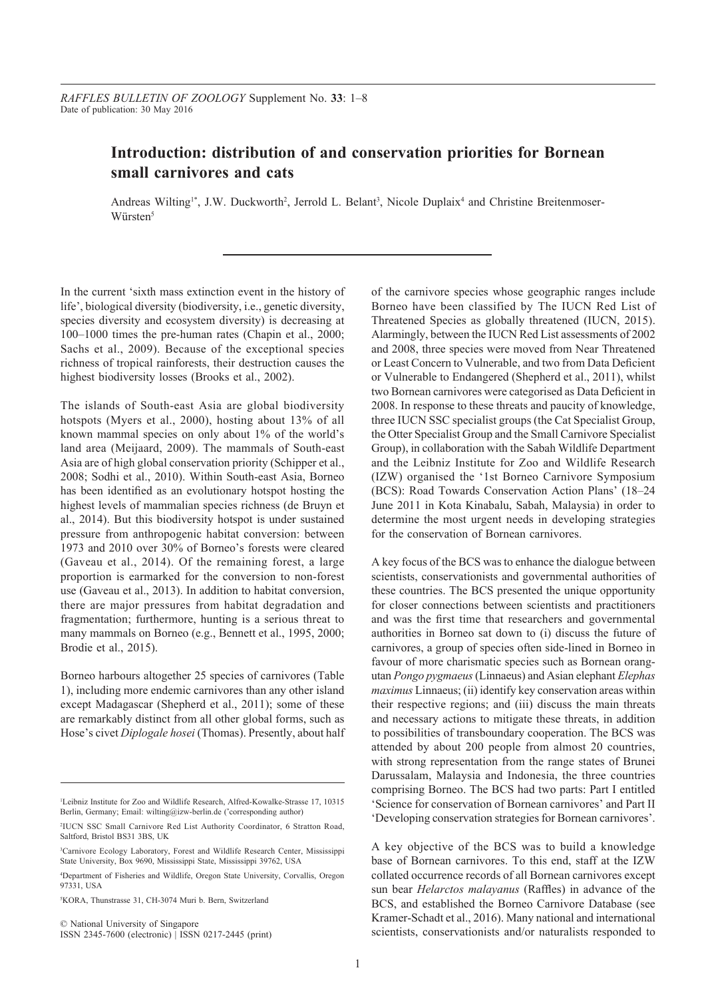# **Introduction: distribution of and conservation priorities for Bornean small carnivores and cats**

Andreas Wilting<sup>1</sup>\*, J.W. Duckworth<sup>2</sup>, Jerrold L. Belant<sup>3</sup>, Nicole Duplaix<sup>4</sup> and Christine Breitenmoser-Würsten<sup>5</sup>

In the current 'sixth mass extinction event in the history of life', biological diversity (biodiversity, i.e., genetic diversity, species diversity and ecosystem diversity) is decreasing at 100–1000 times the pre-human rates (Chapin et al., 2000; Sachs et al., 2009). Because of the exceptional species richness of tropical rainforests, their destruction causes the highest biodiversity losses (Brooks et al., 2002).

The islands of South-east Asia are global biodiversity hotspots (Myers et al., 2000), hosting about 13% of all known mammal species on only about 1% of the world's land area (Meijaard, 2009). The mammals of South-east Asia are of high global conservation priority (Schipper et al., 2008; Sodhi et al., 2010). Within South-east Asia, Borneo has been identified as an evolutionary hotspot hosting the highest levels of mammalian species richness (de Bruyn et al., 2014). But this biodiversity hotspot is under sustained pressure from anthropogenic habitat conversion: between 1973 and 2010 over 30% of Borneo's forests were cleared (Gaveau et al., 2014). Of the remaining forest, a large proportion is earmarked for the conversion to non-forest use (Gaveau et al., 2013). In addition to habitat conversion, there are major pressures from habitat degradation and fragmentation; furthermore, hunting is a serious threat to many mammals on Borneo (e.g., Bennett et al., 1995, 2000; Brodie et al., 2015).

Borneo harbours altogether 25 species of carnivores (Table 1), including more endemic carnivores than any other island except Madagascar (Shepherd et al., 2011); some of these are remarkably distinct from all other global forms, such as Hose's civet *Diplogale hosei* (Thomas). Presently, about half

© National University of Singapore ISSN 2345-7600 (electronic) | ISSN 0217-2445 (print)

of the carnivore species whose geographic ranges include Borneo have been classified by The IUCN Red List of Threatened Species as globally threatened (IUCN, 2015). Alarmingly, between the IUCN Red List assessments of 2002 and 2008, three species were moved from Near Threatened or Least Concern to Vulnerable, and two from Data Deficient or Vulnerable to Endangered (Shepherd et al., 2011), whilst two Bornean carnivores were categorised as Data Deficient in 2008. In response to these threats and paucity of knowledge, three IUCN SSC specialist groups (the Cat Specialist Group, the Otter Specialist Group and the Small Carnivore Specialist Group), in collaboration with the Sabah Wildlife Department and the Leibniz Institute for Zoo and Wildlife Research (IZW) organised the '1st Borneo Carnivore Symposium (BCS): Road Towards Conservation Action Plans' (18–24 June 2011 in Kota Kinabalu, Sabah, Malaysia) in order to determine the most urgent needs in developing strategies for the conservation of Bornean carnivores.

A key focus of the BCS was to enhance the dialogue between scientists, conservationists and governmental authorities of these countries. The BCS presented the unique opportunity for closer connections between scientists and practitioners and was the first time that researchers and governmental authorities in Borneo sat down to (i) discuss the future of carnivores, a group of species often side-lined in Borneo in favour of more charismatic species such as Bornean orangutan *Pongo pygmaeus* (Linnaeus) and Asian elephant *Elephas maximus* Linnaeus; (ii) identify key conservation areas within their respective regions; and (iii) discuss the main threats and necessary actions to mitigate these threats, in addition to possibilities of transboundary cooperation. The BCS was attended by about 200 people from almost 20 countries, with strong representation from the range states of Brunei Darussalam, Malaysia and Indonesia, the three countries comprising Borneo. The BCS had two parts: Part I entitled 'Science for conservation of Bornean carnivores' and Part II 'Developing conservation strategies for Bornean carnivores'.

A key objective of the BCS was to build a knowledge base of Bornean carnivores. To this end, staff at the IZW collated occurrence records of all Bornean carnivores except sun bear *Helarctos malayanus* (Raffles) in advance of the BCS, and established the Borneo Carnivore Database (see Kramer-Schadt et al., 2016). Many national and international scientists, conservationists and/or naturalists responded to

<sup>&</sup>lt;sup>1</sup>Leibniz Institute for Zoo and Wildlife Research, Alfred-Kowalke-Strasse 17, 10315 Berlin, Germany; Email: wilting@izw-berlin.de (\* corresponding author)

<sup>2</sup> IUCN SSC Small Carnivore Red List Authority Coordinator, 6 Stratton Road, Saltford, Bristol BS31 3BS, UK

<sup>3</sup> Carnivore Ecology Laboratory, Forest and Wildlife Research Center, Mississippi State University, Box 9690, Mississippi State, Mississippi 39762, USA

<sup>4</sup> Department of Fisheries and Wildlife, Oregon State University, Corvallis, Oregon 97331, USA

<sup>5</sup> KORA, Thunstrasse 31, CH-3074 Muri b. Bern, Switzerland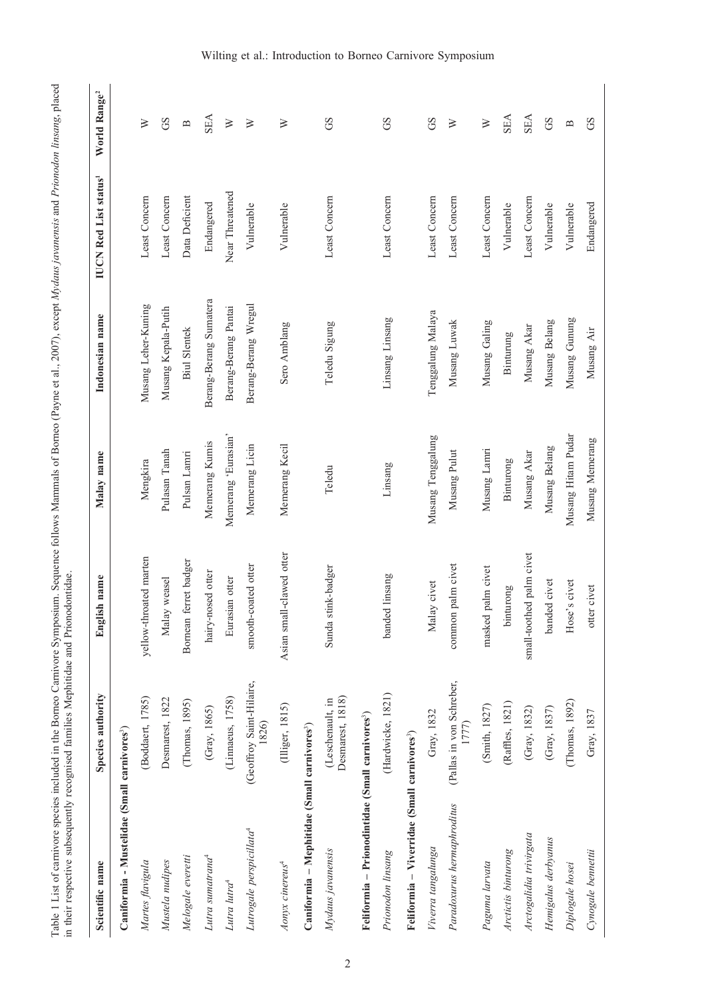Table 1 List of carnivore species included in the Borneo Carnivore Symposium. Sequence follows Mammals of Borneo (Payne et al., 2007), except Mydaus javanensis and Prionodon linsang, placed<br>in their respective subsequently Table 1 List of carnivore species included in the Borneo Carnivore Symposium. Sequence follows Mammals of Borneo (Payne et al., 2007), except *Mydaus javanensis* and *Prionodon linsang*, placed in their respective subsequently recognised families Mephitidae and Prionodontidae.

| Scientific name                                              | Species authority                    | English name             | Malay name          | Indonesian name        | <b>IUCN Red List status<sup>1</sup></b> | World Range <sup>2</sup>                  |
|--------------------------------------------------------------|--------------------------------------|--------------------------|---------------------|------------------------|-----------------------------------------|-------------------------------------------|
| Caniformia - Mustelidae (Small carnivores <sup>3</sup> )     |                                      |                          |                     |                        |                                         |                                           |
| Martes flavigula                                             | (Boddaert, 1785)                     | yellow-throated marten   | Mengkira            | Musang Leher-Kuning    | Least Concern                           | ≽                                         |
| Mustela nudipes                                              | Desmarest, 1822                      | Malay weasel             | Pulasan Tanah       | Musang Kepala-Putih    | Least Concern                           | GS                                        |
| Melogale everetti                                            | (Thomas, 1895)                       | Bornean ferret badger    | Pulsan Lamri        | <b>Biul Slentek</b>    | Data Deficient                          | $\mathbf{\underline{\underline{\alpha}}}$ |
| Lutra sumatrana <sup>4</sup>                                 | (Gray, 1865)                         | hairy-nosed otter        | Memerang Kumis      | Berang-Berang Sumatera | Endangered                              | <b>SEA</b>                                |
| Lutra lutra <sup>4</sup>                                     | (Linnaeus, 1758)                     | Eurasian otter           | Memerang 'Eurasian' | Berang-Berang Pantai   | Near Threatened                         | $\geq$                                    |
| Lutrogale perspicillata <sup>4</sup>                         | (Geoffroy Saint-Hilaire,<br>1826)    | smooth-coated otter      | Memerang Licin      | Berang-Berang Wregul   | Vulnerable                              | $\geq$                                    |
| Aonyx cinereus <sup>4</sup>                                  | (Illiger, 1815)                      | Asian small-clawed otter | Memerang Kecil      | Sero Amblang           | Vulnerable                              | $\geq$                                    |
| Caniformia - Mephitidae (Small carnivores <sup>3</sup> )     |                                      |                          |                     |                        |                                         |                                           |
| Mydaus javanensis                                            | Desmarest, 1818)<br>(Leschenault, in | Sunda stink-badger       | Teledu              | Teledu Sigung          | Least Concern                           | GS                                        |
| Feliformia - Prionodintidae (Small carnivores <sup>3</sup> ) |                                      |                          |                     |                        |                                         |                                           |
| Prionodon linsang                                            | (Hardwicke, 1821)                    | banded linsang           | Linsang             | Linsang Linsang        | Least Concern                           | GS                                        |
| Feliformia – Viverridae (Small carnivores <sup>3</sup> )     |                                      |                          |                     |                        |                                         |                                           |
| Viverra tangalunga                                           | Gray, 1832                           | Malay civet              | Musang Tenggalung   | Tenggalung Malaya      | Least Concern                           | GS                                        |
| Paradoxurus hermaphroditus                                   | (Pallas in von Schreber,<br>1777)    | common palm civet        | Musang Pulut        | Musang Luwak           | Least Concern                           | $\geq$                                    |
| Paguma larvata                                               | (Smith, 1827)                        | masked palm civet        | Musang Lamri        | Musang Galing          | Least Concern                           | $\geq$                                    |
| Arctictis binturong                                          | (Raffles, 1821)                      | binturong                | Binturong           | Binturung              | Vulnerable                              | <b>SEA</b>                                |
| Arctogalidia trivirgata                                      | (Gray, 1832)                         | small-toothed palm civet | Musang Akar         | Musang Akar            | Least Concern                           | <b>SEA</b>                                |
| Hemigalus derbyanus                                          | (Gray, 1837)                         | banded civet             | Musang Belang       | Musang Belang          | Vulnerable                              | GS                                        |
| Diplogale hosei                                              | (Thomas, 1892)                       | Hose's civet             | Musang Hitam Pudar  | Musang Gunung          | Vulnerable                              | $\mathbf{\underline{\underline{\alpha}}}$ |
| Cynogale bennettii                                           | Gray, 1837                           | otter civet              | Musang Memerang     | Musang Air             | Endangered                              | GS                                        |

### Wilting et al.: Introduction to Borneo Carnivore Symposium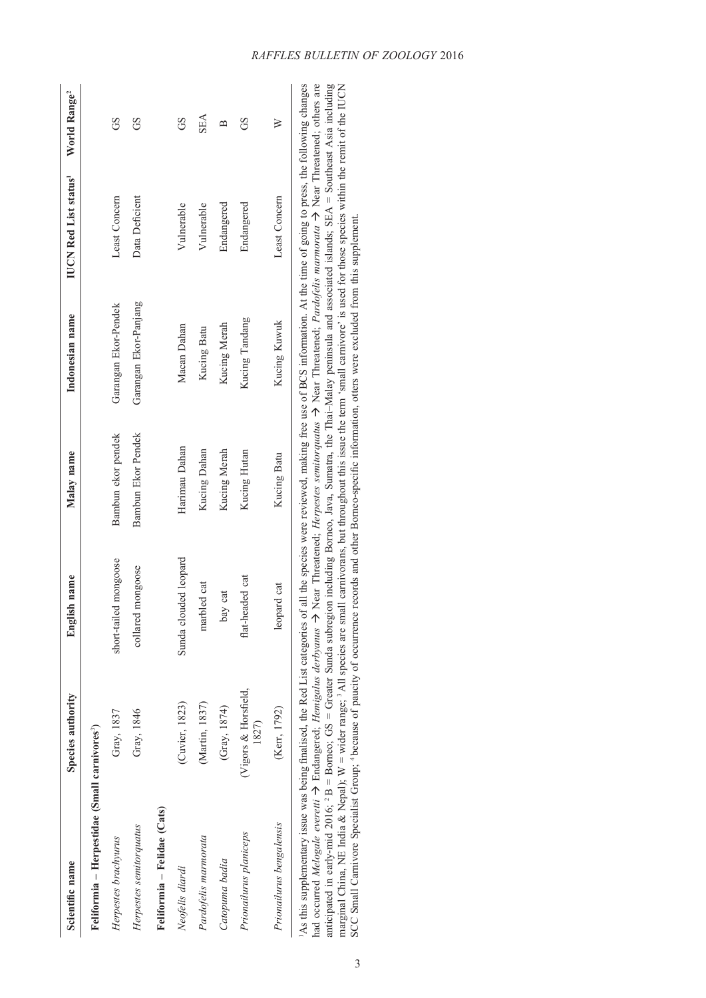| Scientific name                                                                                                                                                                                                                                                                                                                                                                                                            | Species authority             | English name           | Malay name         | Indonesian name       | <b>IUCN Red List status</b> | World Range <sup>2</sup> |
|----------------------------------------------------------------------------------------------------------------------------------------------------------------------------------------------------------------------------------------------------------------------------------------------------------------------------------------------------------------------------------------------------------------------------|-------------------------------|------------------------|--------------------|-----------------------|-----------------------------|--------------------------|
| Feliformia - Herpestidae (Small carnivores <sup>3</sup> )                                                                                                                                                                                                                                                                                                                                                                  |                               |                        |                    |                       |                             |                          |
| Herpestes brachyurus                                                                                                                                                                                                                                                                                                                                                                                                       | Gray, 1837                    | short-tailed mongoose  | Bambun ekor pendek | Garangan Ekor-Pendek  | Least Concern               | GS                       |
| Herpestes semitorquatus                                                                                                                                                                                                                                                                                                                                                                                                    | Gray, 1846                    | 1 mongoose<br>collared | Bambun Ekor Pendek | Garangan Ekor-Panjang | Data Deficient              | GS                       |
| Feliformia – Felidae (Cats)                                                                                                                                                                                                                                                                                                                                                                                                |                               |                        |                    |                       |                             |                          |
| Neofelis diardi                                                                                                                                                                                                                                                                                                                                                                                                            | (Cuvier, 1823)                | Sunda clouded leopard  | Harimau Dahan      | Macan Dahan           | Vulnerable                  | GS                       |
| Pardofelis marmorata                                                                                                                                                                                                                                                                                                                                                                                                       | (Martin, 1837)                | marbled cat            | Kucing Dahan       | Kucing Batu           | Vulnerable                  | <b>SEA</b>               |
| Catopuma badia                                                                                                                                                                                                                                                                                                                                                                                                             | (Gray, 1874)                  | bay cat                | Kucing Merah       | Kucing Merah          | Endangered                  | $\mathbf{\Xi}$           |
| Prionailurus planiceps                                                                                                                                                                                                                                                                                                                                                                                                     | (Vigors & Horsfield,<br>1827) | flat-headed cat        | Kucing Hutan       | Kucing Tandang        | Endangered                  | GS                       |
| Prionailurus bengalensis                                                                                                                                                                                                                                                                                                                                                                                                   | (Kerr, 1792)                  | leopard cat            | Kucing Batu        | Kucing Kuwuk          | Least Concern               | ≥                        |
| had occurred Melocale everetit $\rightarrow$ Endancered: Hemicalus derhyanus $\rightarrow$ Nest Threatened: Hermocries emitoraughts Nest Threatened: Pardofelis marmorata $\rightarrow$ Nest Threatened: others are<br>As this supplementary issue was being finalised, the Red List categories of all the species were reviewed, making free use of BCS information. At the time of going to press, the following changes |                               |                        |                    |                       |                             |                          |

had occurred *Melogate everett*  $\rightarrow$  Endangerect*, Hemigatus derbyanus*  $\rightarrow$  Near 1 Inreatenct*, Herpestes semitorquatus*  $\rightarrow$  Near 1 Inreatenct, *Faragelis marmorata*  $\rightarrow$  Near 1 Inreatenct, offers are anticipated in ear 1As this supplementary issue was being finalised, the Red List categories of all the species were reviewed, making free use of BCS information. At the time of going to press, the following changes had occurred *Melogale everetti* à Endangered; *Hemigalus derbyanus* à Near Threatened; *Herpestes semitorquatus* à Near Threatened; *Pardofelis marmorata* à Near Threatened; others are anticipated in early-mid 2016; 2 B = Borneo; GS = Greater Sunda subregion including Borneo, Java, Sumatra, the Thai–Malay peninsula and associated islands; SEA = Southeast Asia including marginal China, NE India & Nepal); W = wider range; 3 All species are small carnivorans, but throughout this issue the term 'small carnivore' is used for those species within the remit of the IUCN SCC Small Carnivore Specialist Group; 4 because of paucity of occurrence records and other Borneo-specific information, otters were excluded from this supplement.had

### *RAFFLES BULLETIN OF ZOOLOGY* 2016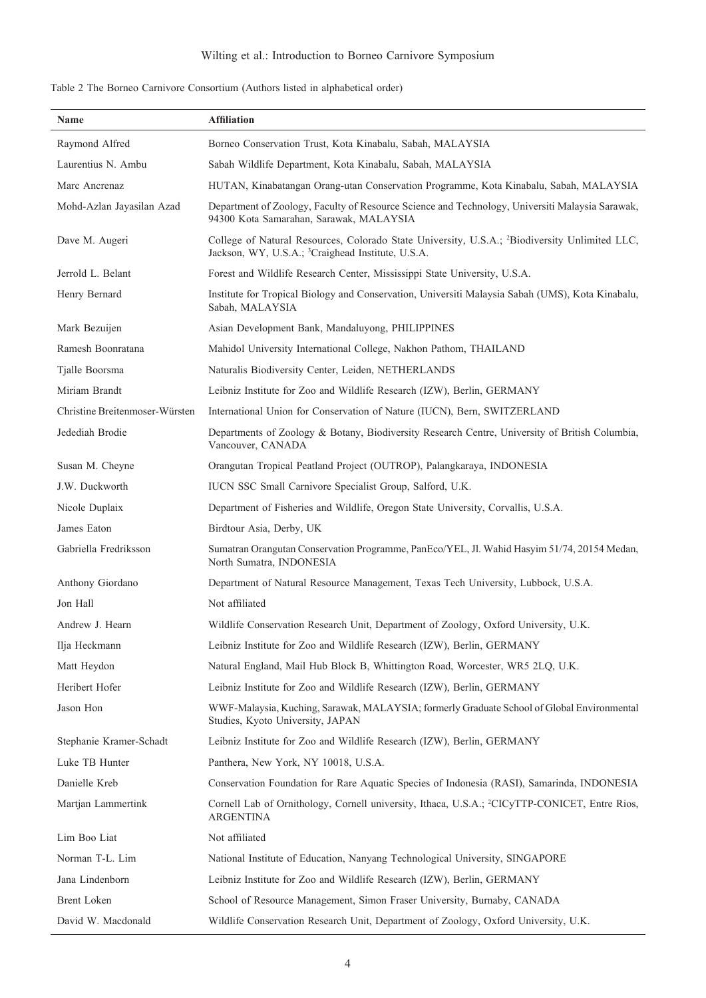## Wilting et al.: Introduction to Borneo Carnivore Symposium

|  |  |  | Table 2 The Borneo Carnivore Consortium (Authors listed in alphabetical order) |  |
|--|--|--|--------------------------------------------------------------------------------|--|
|  |  |  |                                                                                |  |

| Name                           | <b>Affiliation</b>                                                                                                                                                         |
|--------------------------------|----------------------------------------------------------------------------------------------------------------------------------------------------------------------------|
| Raymond Alfred                 | Borneo Conservation Trust, Kota Kinabalu, Sabah, MALAYSIA                                                                                                                  |
| Laurentius N. Ambu             | Sabah Wildlife Department, Kota Kinabalu, Sabah, MALAYSIA                                                                                                                  |
| Marc Ancrenaz                  | HUTAN, Kinabatangan Orang-utan Conservation Programme, Kota Kinabalu, Sabah, MALAYSIA                                                                                      |
| Mohd-Azlan Jayasilan Azad      | Department of Zoology, Faculty of Resource Science and Technology, Universiti Malaysia Sarawak,<br>94300 Kota Samarahan, Sarawak, MALAYSIA                                 |
| Dave M. Augeri                 | College of Natural Resources, Colorado State University, U.S.A.; <sup>2</sup> Biodiversity Unlimited LLC,<br>Jackson, WY, U.S.A.; <sup>3</sup> Craighead Institute, U.S.A. |
| Jerrold L. Belant              | Forest and Wildlife Research Center, Mississippi State University, U.S.A.                                                                                                  |
| Henry Bernard                  | Institute for Tropical Biology and Conservation, Universiti Malaysia Sabah (UMS), Kota Kinabalu,<br>Sabah, MALAYSIA                                                        |
| Mark Bezuijen                  | Asian Development Bank, Mandaluyong, PHILIPPINES                                                                                                                           |
| Ramesh Boonratana              | Mahidol University International College, Nakhon Pathom, THAILAND                                                                                                          |
| Tjalle Boorsma                 | Naturalis Biodiversity Center, Leiden, NETHERLANDS                                                                                                                         |
| Miriam Brandt                  | Leibniz Institute for Zoo and Wildlife Research (IZW), Berlin, GERMANY                                                                                                     |
| Christine Breitenmoser-Würsten | International Union for Conservation of Nature (IUCN), Bern, SWITZERLAND                                                                                                   |
| Jedediah Brodie                | Departments of Zoology & Botany, Biodiversity Research Centre, University of British Columbia,<br>Vancouver, CANADA                                                        |
| Susan M. Cheyne                | Orangutan Tropical Peatland Project (OUTROP), Palangkaraya, INDONESIA                                                                                                      |
| J.W. Duckworth                 | IUCN SSC Small Carnivore Specialist Group, Salford, U.K.                                                                                                                   |
| Nicole Duplaix                 | Department of Fisheries and Wildlife, Oregon State University, Corvallis, U.S.A.                                                                                           |
| James Eaton                    | Birdtour Asia, Derby, UK                                                                                                                                                   |
| Gabriella Fredriksson          | Sumatran Orangutan Conservation Programme, PanEco/YEL, Jl. Wahid Hasyim 51/74, 20154 Medan,<br>North Sumatra, INDONESIA                                                    |
| Anthony Giordano               | Department of Natural Resource Management, Texas Tech University, Lubbock, U.S.A.                                                                                          |
| Jon Hall                       | Not affiliated                                                                                                                                                             |
| Andrew J. Hearn                | Wildlife Conservation Research Unit, Department of Zoology, Oxford University, U.K.                                                                                        |
| Ilja Heckmann                  | Leibniz Institute for Zoo and Wildlife Research (IZW), Berlin, GERMANY                                                                                                     |
| Matt Heydon                    | Natural England, Mail Hub Block B, Whittington Road, Worcester, WR5 2LQ, U.K.                                                                                              |
| Heribert Hofer                 | Leibniz Institute for Zoo and Wildlife Research (IZW), Berlin, GERMANY                                                                                                     |
| Jason Hon                      | WWF-Malaysia, Kuching, Sarawak, MALAYSIA; formerly Graduate School of Global Environmental<br>Studies, Kyoto University, JAPAN                                             |
| Stephanie Kramer-Schadt        | Leibniz Institute for Zoo and Wildlife Research (IZW), Berlin, GERMANY                                                                                                     |
| Luke TB Hunter                 | Panthera, New York, NY 10018, U.S.A.                                                                                                                                       |
| Danielle Kreb                  | Conservation Foundation for Rare Aquatic Species of Indonesia (RASI), Samarinda, INDONESIA                                                                                 |
| Martjan Lammertink             | Cornell Lab of Ornithology, Cornell university, Ithaca, U.S.A.; <sup>2</sup> CICyTTP-CONICET, Entre Rios,<br><b>ARGENTINA</b>                                              |
| Lim Boo Liat                   | Not affiliated                                                                                                                                                             |
| Norman T-L. Lim                | National Institute of Education, Nanyang Technological University, SINGAPORE                                                                                               |
| Jana Lindenborn                | Leibniz Institute for Zoo and Wildlife Research (IZW), Berlin, GERMANY                                                                                                     |
| Brent Loken                    | School of Resource Management, Simon Fraser University, Burnaby, CANADA                                                                                                    |
| David W. Macdonald             | Wildlife Conservation Research Unit, Department of Zoology, Oxford University, U.K.                                                                                        |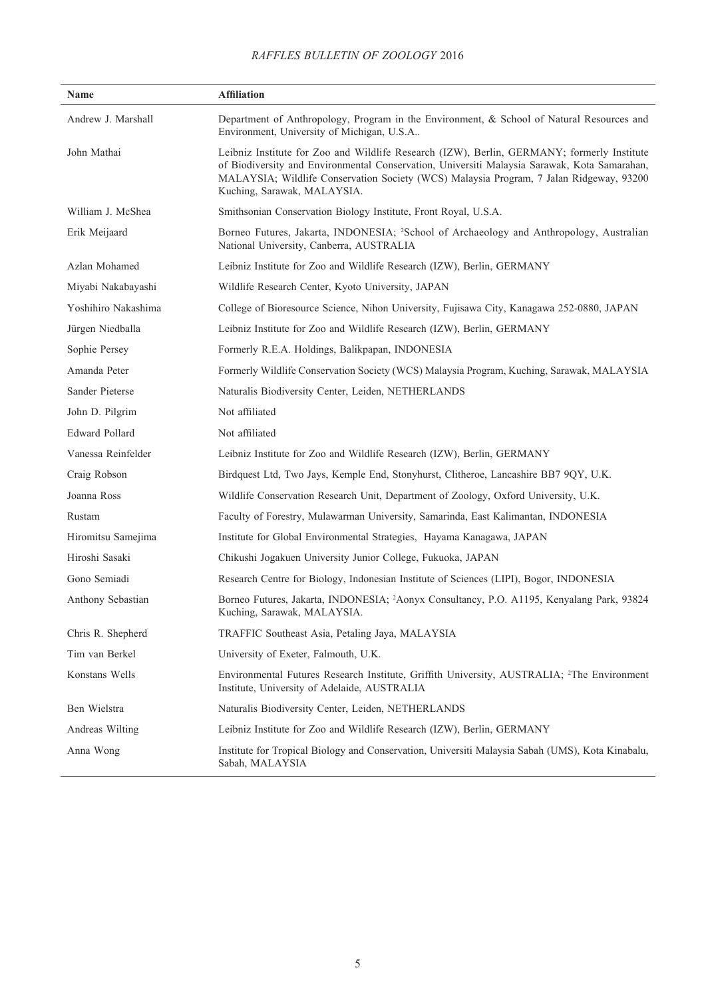### *RAFFLES BULLETIN OF ZOOLOGY* 2016

| Name                | <b>Affiliation</b>                                                                                                                                                                                                                                                                                                   |  |
|---------------------|----------------------------------------------------------------------------------------------------------------------------------------------------------------------------------------------------------------------------------------------------------------------------------------------------------------------|--|
| Andrew J. Marshall  | Department of Anthropology, Program in the Environment, & School of Natural Resources and<br>Environment, University of Michigan, U.S.A                                                                                                                                                                              |  |
| John Mathai         | Leibniz Institute for Zoo and Wildlife Research (IZW), Berlin, GERMANY; formerly Institute<br>of Biodiversity and Environmental Conservation, Universiti Malaysia Sarawak, Kota Samarahan,<br>MALAYSIA; Wildlife Conservation Society (WCS) Malaysia Program, 7 Jalan Ridgeway, 93200<br>Kuching, Sarawak, MALAYSIA. |  |
| William J. McShea   | Smithsonian Conservation Biology Institute, Front Royal, U.S.A.                                                                                                                                                                                                                                                      |  |
| Erik Meijaard       | Borneo Futures, Jakarta, INDONESIA; <sup>2</sup> School of Archaeology and Anthropology, Australian<br>National University, Canberra, AUSTRALIA                                                                                                                                                                      |  |
| Azlan Mohamed       | Leibniz Institute for Zoo and Wildlife Research (IZW), Berlin, GERMANY                                                                                                                                                                                                                                               |  |
| Miyabi Nakabayashi  | Wildlife Research Center, Kyoto University, JAPAN                                                                                                                                                                                                                                                                    |  |
| Yoshihiro Nakashima | College of Bioresource Science, Nihon University, Fujisawa City, Kanagawa 252-0880, JAPAN                                                                                                                                                                                                                            |  |
| Jürgen Niedballa    | Leibniz Institute for Zoo and Wildlife Research (IZW), Berlin, GERMANY                                                                                                                                                                                                                                               |  |
| Sophie Persey       | Formerly R.E.A. Holdings, Balikpapan, INDONESIA                                                                                                                                                                                                                                                                      |  |
| Amanda Peter        | Formerly Wildlife Conservation Society (WCS) Malaysia Program, Kuching, Sarawak, MALAYSIA                                                                                                                                                                                                                            |  |
| Sander Pieterse     | Naturalis Biodiversity Center, Leiden, NETHERLANDS                                                                                                                                                                                                                                                                   |  |
| John D. Pilgrim     | Not affiliated                                                                                                                                                                                                                                                                                                       |  |
| Edward Pollard      | Not affiliated                                                                                                                                                                                                                                                                                                       |  |
| Vanessa Reinfelder  | Leibniz Institute for Zoo and Wildlife Research (IZW), Berlin, GERMANY                                                                                                                                                                                                                                               |  |
| Craig Robson        | Birdquest Ltd, Two Jays, Kemple End, Stonyhurst, Clitheroe, Lancashire BB7 9QY, U.K.                                                                                                                                                                                                                                 |  |
| Joanna Ross         | Wildlife Conservation Research Unit, Department of Zoology, Oxford University, U.K.                                                                                                                                                                                                                                  |  |
| Rustam              | Faculty of Forestry, Mulawarman University, Samarinda, East Kalimantan, INDONESIA                                                                                                                                                                                                                                    |  |
| Hiromitsu Samejima  | Institute for Global Environmental Strategies, Hayama Kanagawa, JAPAN                                                                                                                                                                                                                                                |  |
| Hiroshi Sasaki      | Chikushi Jogakuen University Junior College, Fukuoka, JAPAN                                                                                                                                                                                                                                                          |  |
| Gono Semiadi        | Research Centre for Biology, Indonesian Institute of Sciences (LIPI), Bogor, INDONESIA                                                                                                                                                                                                                               |  |
| Anthony Sebastian   | Borneo Futures, Jakarta, INDONESIA; <sup>2</sup> Aonyx Consultancy, P.O. A1195, Kenyalang Park, 93824<br>Kuching, Sarawak, MALAYSIA.                                                                                                                                                                                 |  |
| Chris R. Shepherd   | TRAFFIC Southeast Asia, Petaling Jaya, MALAYSIA                                                                                                                                                                                                                                                                      |  |
| Tim van Berkel      | University of Exeter, Falmouth, U.K.                                                                                                                                                                                                                                                                                 |  |
| Konstans Wells      | Environmental Futures Research Institute, Griffith University, AUSTRALIA; <sup>2</sup> The Environment<br>Institute, University of Adelaide, AUSTRALIA                                                                                                                                                               |  |
| Ben Wielstra        | Naturalis Biodiversity Center, Leiden, NETHERLANDS                                                                                                                                                                                                                                                                   |  |
| Andreas Wilting     | Leibniz Institute for Zoo and Wildlife Research (IZW), Berlin, GERMANY                                                                                                                                                                                                                                               |  |
| Anna Wong           | Institute for Tropical Biology and Conservation, Universiti Malaysia Sabah (UMS), Kota Kinabalu,<br>Sabah, MALAYSIA                                                                                                                                                                                                  |  |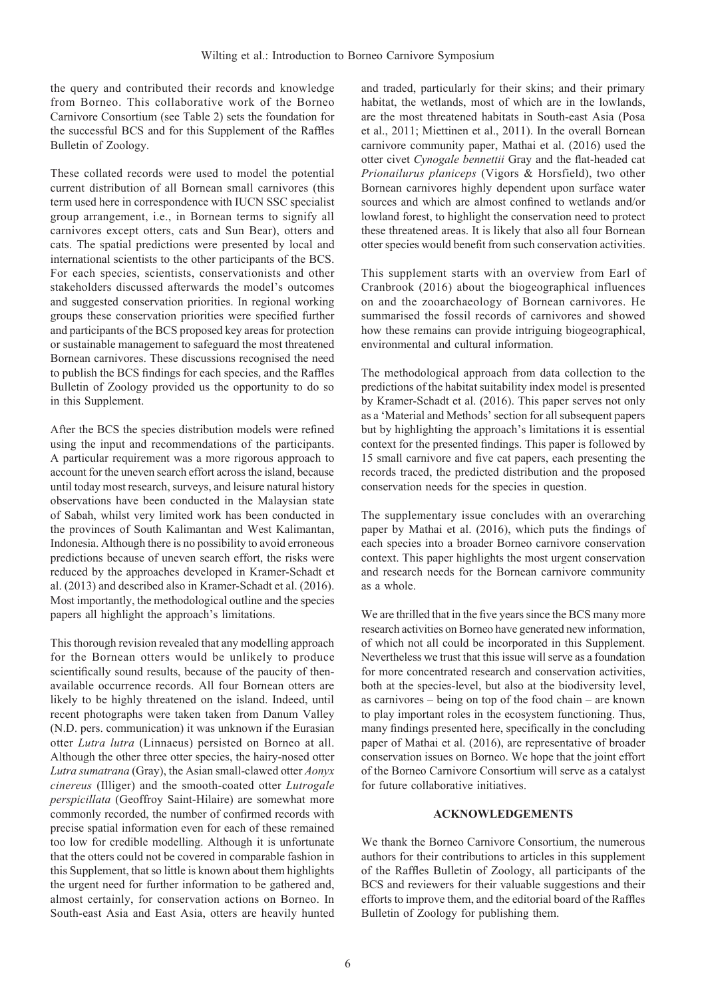the query and contributed their records and knowledge from Borneo. This collaborative work of the Borneo Carnivore Consortium (see Table 2) sets the foundation for the successful BCS and for this Supplement of the Raffles Bulletin of Zoology.

These collated records were used to model the potential current distribution of all Bornean small carnivores (this term used here in correspondence with IUCN SSC specialist group arrangement, i.e., in Bornean terms to signify all carnivores except otters, cats and Sun Bear), otters and cats. The spatial predictions were presented by local and international scientists to the other participants of the BCS. For each species, scientists, conservationists and other stakeholders discussed afterwards the model's outcomes and suggested conservation priorities. In regional working groups these conservation priorities were specified further and participants of the BCS proposed key areas for protection or sustainable management to safeguard the most threatened Bornean carnivores. These discussions recognised the need to publish the BCS findings for each species, and the Raffles Bulletin of Zoology provided us the opportunity to do so in this Supplement.

After the BCS the species distribution models were refined using the input and recommendations of the participants. A particular requirement was a more rigorous approach to account for the uneven search effort across the island, because until today most research, surveys, and leisure natural history observations have been conducted in the Malaysian state of Sabah, whilst very limited work has been conducted in the provinces of South Kalimantan and West Kalimantan, Indonesia. Although there is no possibility to avoid erroneous predictions because of uneven search effort, the risks were reduced by the approaches developed in Kramer-Schadt et al. (2013) and described also in Kramer-Schadt et al. (2016). Most importantly, the methodological outline and the species papers all highlight the approach's limitations.

This thorough revision revealed that any modelling approach for the Bornean otters would be unlikely to produce scientifically sound results, because of the paucity of thenavailable occurrence records. All four Bornean otters are likely to be highly threatened on the island. Indeed, until recent photographs were taken taken from Danum Valley (N.D. pers. communication) it was unknown if the Eurasian otter *Lutra lutra* (Linnaeus) persisted on Borneo at all. Although the other three otter species, the hairy-nosed otter *Lutra sumatrana* (Gray), the Asian small-clawed otter *Aonyx cinereus* (Illiger) and the smooth-coated otter *Lutrogale perspicillata* (Geoffroy Saint-Hilaire) are somewhat more commonly recorded, the number of confirmed records with precise spatial information even for each of these remained too low for credible modelling. Although it is unfortunate that the otters could not be covered in comparable fashion in this Supplement, that so little is known about them highlights the urgent need for further information to be gathered and, almost certainly, for conservation actions on Borneo. In South-east Asia and East Asia, otters are heavily hunted

and traded, particularly for their skins; and their primary habitat, the wetlands, most of which are in the lowlands, are the most threatened habitats in South-east Asia (Posa et al., 2011; Miettinen et al., 2011). In the overall Bornean carnivore community paper, Mathai et al. (2016) used the otter civet *Cynogale bennettii* Gray and the flat-headed cat *Prionailurus planiceps* (Vigors & Horsfield), two other Bornean carnivores highly dependent upon surface water sources and which are almost confined to wetlands and/or lowland forest, to highlight the conservation need to protect these threatened areas. It is likely that also all four Bornean otter species would benefit from such conservation activities.

This supplement starts with an overview from Earl of Cranbrook (2016) about the biogeographical influences on and the zooarchaeology of Bornean carnivores. He summarised the fossil records of carnivores and showed how these remains can provide intriguing biogeographical, environmental and cultural information.

The methodological approach from data collection to the predictions of the habitat suitability index model is presented by Kramer-Schadt et al. (2016). This paper serves not only as a 'Material and Methods' section for all subsequent papers but by highlighting the approach's limitations it is essential context for the presented findings. This paper is followed by 15 small carnivore and five cat papers, each presenting the records traced, the predicted distribution and the proposed conservation needs for the species in question.

The supplementary issue concludes with an overarching paper by Mathai et al. (2016), which puts the findings of each species into a broader Borneo carnivore conservation context. This paper highlights the most urgent conservation and research needs for the Bornean carnivore community as a whole.

We are thrilled that in the five years since the BCS many more research activities on Borneo have generated new information, of which not all could be incorporated in this Supplement. Nevertheless we trust that this issue will serve as a foundation for more concentrated research and conservation activities, both at the species-level, but also at the biodiversity level, as carnivores – being on top of the food chain – are known to play important roles in the ecosystem functioning. Thus, many findings presented here, specifically in the concluding paper of Mathai et al. (2016), are representative of broader conservation issues on Borneo. We hope that the joint effort of the Borneo Carnivore Consortium will serve as a catalyst for future collaborative initiatives.

#### **ACKNOWLEDGEMENTS**

We thank the Borneo Carnivore Consortium, the numerous authors for their contributions to articles in this supplement of the Raffles Bulletin of Zoology, all participants of the BCS and reviewers for their valuable suggestions and their efforts to improve them, and the editorial board of the Raffles Bulletin of Zoology for publishing them.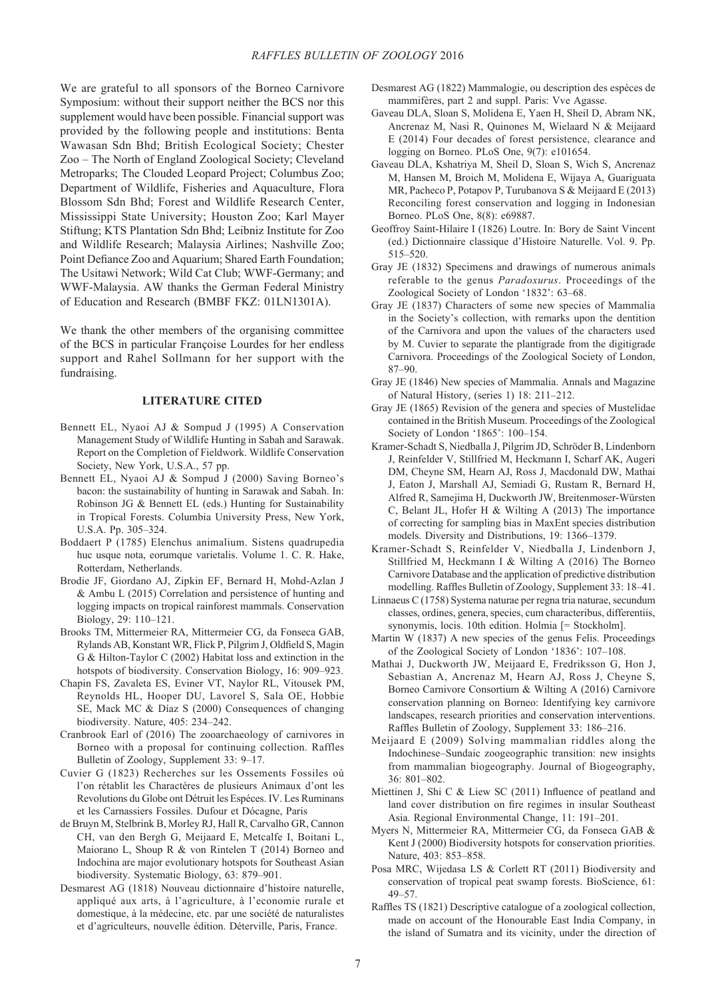We are grateful to all sponsors of the Borneo Carnivore Symposium: without their support neither the BCS nor this supplement would have been possible. Financial support was provided by the following people and institutions: Benta Wawasan Sdn Bhd; British Ecological Society; Chester Zoo – The North of England Zoological Society; Cleveland Metroparks; The Clouded Leopard Project; Columbus Zoo; Department of Wildlife, Fisheries and Aquaculture, Flora Blossom Sdn Bhd; Forest and Wildlife Research Center, Mississippi State University; Houston Zoo; Karl Mayer Stiftung; KTS Plantation Sdn Bhd; Leibniz Institute for Zoo and Wildlife Research; Malaysia Airlines; Nashville Zoo; Point Defiance Zoo and Aquarium; Shared Earth Foundation; The Usitawi Network; Wild Cat Club; WWF-Germany; and WWF-Malaysia. AW thanks the German Federal Ministry of Education and Research (BMBF FKZ: 01LN1301A).

We thank the other members of the organising committee of the BCS in particular Françoise Lourdes for her endless support and Rahel Sollmann for her support with the fundraising.

#### **LITERATURE CITED**

- Bennett EL, Nyaoi AJ & Sompud J (1995) A Conservation Management Study of Wildlife Hunting in Sabah and Sarawak. Report on the Completion of Fieldwork. Wildlife Conservation Society, New York, U.S.A., 57 pp.
- Bennett EL, Nyaoi AJ & Sompud J (2000) Saving Borneo's bacon: the sustainability of hunting in Sarawak and Sabah. In: Robinson JG & Bennett EL (eds.) Hunting for Sustainability in Tropical Forests. Columbia University Press, New York, U.S.A. Pp. 305–324.
- Boddaert P (1785) Elenchus animalium. Sistens quadrupedia huc usque nota, eorumque varietalis. Volume 1. C. R. Hake, Rotterdam, Netherlands.
- Brodie JF, Giordano AJ, Zipkin EF, Bernard H, Mohd-Azlan J & Ambu L (2015) Correlation and persistence of hunting and logging impacts on tropical rainforest mammals. Conservation Biology, 29: 110–121.
- Brooks TM, Mittermeier, RA, Mittermeier CG, da Fonseca GAB, Rylands AB, Konstant WR, Flick P, Pilgrim J, Oldfield S, Magin G & Hilton-Taylor C (2002) Habitat loss and extinction in the hotspots of biodiversity. Conservation Biology, 16: 909–923.
- Chapin FS, Zavaleta ES, Eviner VT, Naylor RL, Vitousek PM, Reynolds HL, Hooper DU, Lavorel S, Sala OE, Hobbie SE, Mack MC & Díaz S (2000) Consequences of changing biodiversity. Nature, 405: 234–242.
- Cranbrook Earl of (2016) The zooarchaeology of carnivores in Borneo with a proposal for continuing collection. Raffles Bulletin of Zoology, Supplement 33: 9–17.
- Cuvier G (1823) Recherches sur les Ossements Fossiles oú l'on rétablit les Charactéres de plusieurs Animaux d'ont les Revolutions du Globe ont Détruit les Espéces. IV. Les Ruminans et les Carnassiers Fossiles. Dufour et Dócagne, Paris
- de Bruyn M, Stelbrink B, Morley RJ, Hall R, Carvalho GR, Cannon CH, van den Bergh G, Meijaard E, Metcalfe I, Boitani L, Maiorano L, Shoup R & von Rintelen T (2014) Borneo and Indochina are major evolutionary hotspots for Southeast Asian biodiversity. Systematic Biology, 63: 879–901.
- Desmarest AG (1818) Nouveau dictionnaire d'histoire naturelle, appliqué aux arts, à l'agriculture, à l'economie rurale et domestique, à la médecine, etc. par une société de naturalistes et d'agriculteurs, nouvelle édition. Déterville, Paris, France.
- Desmarest AG (1822) Mammalogie, ou description des espèces de mammifères, part 2 and suppl. Paris: Vve Agasse.
- Gaveau DLA, Sloan S, Molidena E, Yaen H, Sheil D, Abram NK, Ancrenaz M, Nasi R, Quinones M, Wielaard N & Meijaard E (2014) Four decades of forest persistence, clearance and logging on Borneo. PLoS One, 9(7): e101654.
- Gaveau DLA, Kshatriya M, Sheil D, Sloan S, Wich S, Ancrenaz M, Hansen M, Broich M, Molidena E, Wijaya A, Guariguata MR, Pacheco P, Potapov P, Turubanova S & Meijaard E (2013) Reconciling forest conservation and logging in Indonesian Borneo. PLoS One, 8(8): e69887.
- Geoffroy Saint-Hilaire I (1826) Loutre. In: Bory de Saint Vincent (ed.) Dictionnaire classique d'Histoire Naturelle. Vol. 9. Pp. 515–520.
- Gray JE (1832) Specimens and drawings of numerous animals referable to the genus *Paradoxurus*. Proceedings of the Zoological Society of London '1832': 63–68.
- Gray JE (1837) Characters of some new species of Mammalia in the Society's collection, with remarks upon the dentition of the Carnivora and upon the values of the characters used by M. Cuvier to separate the plantigrade from the digitigrade Carnivora. Proceedings of the Zoological Society of London, 87–90.
- Gray JE (1846) New species of Mammalia. Annals and Magazine of Natural History, (series 1) 18: 211–212.
- Gray JE (1865) Revision of the genera and species of Mustelidae contained in the British Museum. Proceedings of the Zoological Society of London '1865': 100–154.
- Kramer-Schadt S, Niedballa J, Pilgrim JD, Schröder B, Lindenborn J, Reinfelder V, Stillfried M, Heckmann I, Scharf AK, Augeri DM, Cheyne SM, Hearn AJ, Ross J, Macdonald DW, Mathai J, Eaton J, Marshall AJ, Semiadi G, Rustam R, Bernard H, Alfred R, Samejima H, Duckworth JW, Breitenmoser-Würsten C, Belant JL, Hofer H & Wilting A (2013) The importance of correcting for sampling bias in MaxEnt species distribution models. Diversity and Distributions, 19: 1366–1379.
- Kramer-Schadt S, Reinfelder V, Niedballa J, Lindenborn J, Stillfried M, Heckmann I & Wilting A (2016) The Borneo Carnivore Database and the application of predictive distribution modelling. Raffles Bulletin of Zoology, Supplement 33: 18–41.
- Linnaeus C (1758) Systema naturae per regna tria naturae, secundum classes, ordines, genera, species, cum characteribus, differentiis, synonymis, locis. 10th edition. Holmia [= Stockholm].
- Martin W (1837) A new species of the genus Felis. Proceedings of the Zoological Society of London '1836': 107–108.
- Mathai J, Duckworth JW, Meijaard E, Fredriksson G, Hon J, Sebastian A, Ancrenaz M, Hearn AJ, Ross J, Cheyne S, Borneo Carnivore Consortium & Wilting A (2016) Carnivore conservation planning on Borneo: Identifying key carnivore landscapes, research priorities and conservation interventions. Raffles Bulletin of Zoology, Supplement 33: 186–216.
- Meijaard E (2009) Solving mammalian riddles along the Indochinese–Sundaic zoogeographic transition: new insights from mammalian biogeography. Journal of Biogeography, 36: 801–802.
- Miettinen J, Shi C & Liew SC (2011) Influence of peatland and land cover distribution on fire regimes in insular Southeast Asia. Regional Environmental Change, 11: 191–201.
- Myers N, Mittermeier RA, Mittermeier CG, da Fonseca GAB & Kent J (2000) Biodiversity hotspots for conservation priorities. Nature, 403: 853–858.
- Posa MRC, Wijedasa LS & Corlett RT (2011) Biodiversity and conservation of tropical peat swamp forests. BioScience, 61: 49–57.
- Raffles TS (1821) Descriptive catalogue of a zoological collection, made on account of the Honourable East India Company, in the island of Sumatra and its vicinity, under the direction of